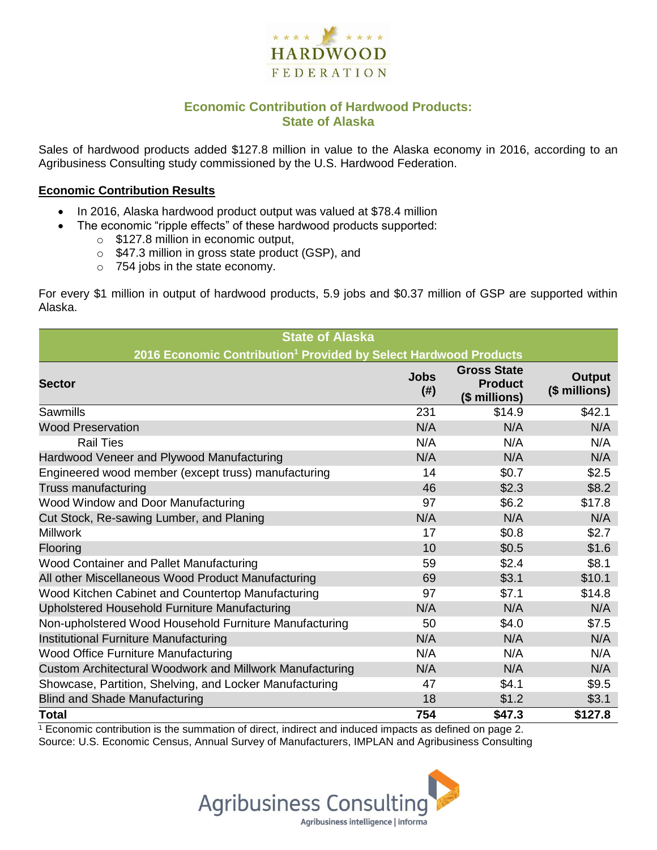

## **Economic Contribution of Hardwood Products: State of Alaska**

Sales of hardwood products added \$127.8 million in value to the Alaska economy in 2016, according to an Agribusiness Consulting study commissioned by the U.S. Hardwood Federation.

#### **Economic Contribution Results**

- In 2016, Alaska hardwood product output was valued at \$78.4 million
	- The economic "ripple effects" of these hardwood products supported:
		- o \$127.8 million in economic output,
		- o \$47.3 million in gross state product (GSP), and
		- o 754 jobs in the state economy.

For every \$1 million in output of hardwood products, 5.9 jobs and \$0.37 million of GSP are supported within Alaska.

| <b>State of Alaska</b>                                                       |                     |                                                       |                         |  |  |  |
|------------------------------------------------------------------------------|---------------------|-------------------------------------------------------|-------------------------|--|--|--|
| 2016 Economic Contribution <sup>1</sup> Provided by Select Hardwood Products |                     |                                                       |                         |  |  |  |
| <b>Sector</b>                                                                | <b>Jobs</b><br>(# ) | <b>Gross State</b><br><b>Product</b><br>(\$ millions) | Output<br>(\$ millions) |  |  |  |
| <b>Sawmills</b>                                                              | 231                 | \$14.9                                                | \$42.1                  |  |  |  |
| <b>Wood Preservation</b>                                                     | N/A                 | N/A                                                   | N/A                     |  |  |  |
| <b>Rail Ties</b>                                                             | N/A                 | N/A                                                   | N/A                     |  |  |  |
| Hardwood Veneer and Plywood Manufacturing                                    | N/A                 | N/A                                                   | N/A                     |  |  |  |
| Engineered wood member (except truss) manufacturing                          | 14                  | \$0.7                                                 | \$2.5                   |  |  |  |
| <b>Truss manufacturing</b>                                                   | 46                  | \$2.3                                                 | \$8.2                   |  |  |  |
| Wood Window and Door Manufacturing                                           | 97                  | \$6.2                                                 | \$17.8                  |  |  |  |
| Cut Stock, Re-sawing Lumber, and Planing                                     | N/A                 | N/A                                                   | N/A                     |  |  |  |
| <b>Millwork</b>                                                              | 17                  | \$0.8                                                 | \$2.7                   |  |  |  |
| Flooring                                                                     | 10                  | \$0.5                                                 | \$1.6                   |  |  |  |
| Wood Container and Pallet Manufacturing                                      | 59                  | \$2.4                                                 | \$8.1                   |  |  |  |
| All other Miscellaneous Wood Product Manufacturing                           | 69                  | \$3.1                                                 | \$10.1                  |  |  |  |
| Wood Kitchen Cabinet and Countertop Manufacturing                            | 97                  | \$7.1                                                 | \$14.8                  |  |  |  |
| Upholstered Household Furniture Manufacturing                                | N/A                 | N/A                                                   | N/A                     |  |  |  |
| Non-upholstered Wood Household Furniture Manufacturing                       | 50                  | \$4.0                                                 | \$7.5                   |  |  |  |
| Institutional Furniture Manufacturing                                        | N/A                 | N/A                                                   | N/A                     |  |  |  |
| Wood Office Furniture Manufacturing                                          | N/A                 | N/A                                                   | N/A                     |  |  |  |
| Custom Architectural Woodwork and Millwork Manufacturing                     | N/A                 | N/A                                                   | N/A                     |  |  |  |
| Showcase, Partition, Shelving, and Locker Manufacturing                      | 47                  | \$4.1                                                 | \$9.5                   |  |  |  |
| <b>Blind and Shade Manufacturing</b>                                         | 18                  | \$1.2                                                 | \$3.1                   |  |  |  |
| <b>Total</b>                                                                 | 754                 | \$47.3                                                | \$127.8                 |  |  |  |

 $1$  Economic contribution is the summation of direct, indirect and induced impacts as defined on page 2. Source: U.S. Economic Census, Annual Survey of Manufacturers, IMPLAN and Agribusiness Consulting